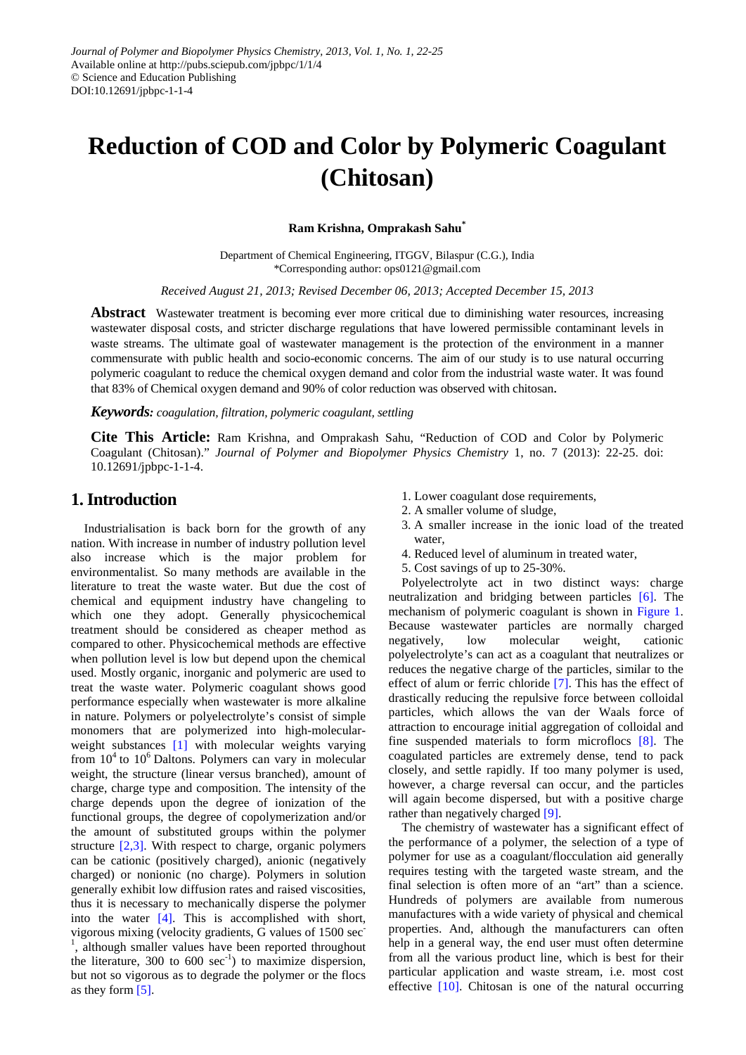# **Reduction of COD and Color by Polymeric Coagulant (Chitosan)**

**Ram Krishna, Omprakash Sahu\***

Department of Chemical Engineering, ITGGV, Bilaspur (C.G.), India \*Corresponding author: ops0121@gmail.com

*Received August 21, 2013; Revised December 06, 2013; Accepted December 15, 2013*

**Abstract** Wastewater treatment is becoming ever more critical due to diminishing water resources, increasing wastewater disposal costs, and stricter discharge regulations that have lowered permissible contaminant levels in waste streams. The ultimate goal of wastewater management is the protection of the environment in a manner commensurate with public health and socio-economic concerns. The aim of our study is to use natural occurring polymeric coagulant to reduce the chemical oxygen demand and color from the industrial waste water. It was found that 83% of Chemical oxygen demand and 90% of color reduction was observed with chitosan.

#### *Keywords: coagulation, filtration, polymeric coagulant, settling*

**Cite This Article:** Ram Krishna, and Omprakash Sahu, "Reduction of COD and Color by Polymeric Coagulant (Chitosan)." *Journal of Polymer and Biopolymer Physics Chemistry* 1, no. 7 (2013): 22-25. doi: 10.12691/jpbpc-1-1-4.

## **1. Introduction**

Industrialisation is back born for the growth of any nation. With increase in number of industry pollution level also increase which is the major problem for environmentalist. So many methods are available in the literature to treat the waste water. But due the cost of chemical and equipment industry have changeling to which one they adopt. Generally physicochemical treatment should be considered as cheaper method as compared to other. Physicochemical methods are effective when pollution level is low but depend upon the chemical used. Mostly organic, inorganic and polymeric are used to treat the waste water. Polymeric coagulant shows good performance especially when wastewater is more alkaline in nature. Polymers or polyelectrolyte's consist of simple monomers that are polymerized into high-molecular-weight substances [\[1\]](#page-3-0) with molecular weights varying from  $10<sup>4</sup>$  to  $10<sup>6</sup>$  Daltons. Polymers can vary in molecular weight, the structure (linear versus branched), amount of charge, charge type and composition. The intensity of the charge depends upon the degree of ionization of the functional groups, the degree of copolymerization and/or the amount of substituted groups within the polymer structure [\[2,3\].](#page-3-1) With respect to charge, organic polymers can be cationic (positively charged), anionic (negatively charged) or nonionic (no charge). Polymers in solution generally exhibit low diffusion rates and raised viscosities, thus it is necessary to mechanically disperse the polymer into the water [\[4\].](#page-3-2) This is accomplished with short, vigorous mixing (velocity gradients, G values of 1500 sec-<sup>1</sup>, although smaller values have been reported throughout the literature,  $300$  to  $600$  sec<sup>-1</sup>) to maximize dispersion, but not so vigorous as to degrade the polymer or the flocs as they form [\[5\].](#page-3-3)

- 1. Lower coagulant dose requirements,
- 2. A smaller volume of sludge,
- 3. A smaller increase in the ionic load of the treated water
- 4. Reduced level of aluminum in treated water,
- 5. Cost savings of up to 25-30%.

Polyelectrolyte act in two distinct ways: charge neutralization and bridging between particles [\[6\].](#page-3-4) The mechanism of polymeric coagulant is shown in [Figure 1.](#page-1-0) Because wastewater particles are normally charged negatively, low molecular weight, cationic polyelectrolyte's can act as a coagulant that neutralizes or reduces the negative charge of the particles, similar to the effect of alum or ferric chloride [\[7\].](#page-3-5) This has the effect of drastically reducing the repulsive force between colloidal particles, which allows the van der Waals force of attraction to encourage initial aggregation of colloidal and fine suspended materials to form microflocs [\[8\].](#page-3-6) The coagulated particles are extremely dense, tend to pack closely, and settle rapidly. If too many polymer is used, however, a charge reversal can occur, and the particles will again become dispersed, but with a positive charge rather than negatively charged [\[9\].](#page-3-7)

The chemistry of wastewater has a significant effect of the performance of a polymer, the selection of a type of polymer for use as a coagulant/flocculation aid generally requires testing with the targeted waste stream, and the final selection is often more of an "art" than a science. Hundreds of polymers are available from numerous manufactures with a wide variety of physical and chemical properties. And, although the manufacturers can often help in a general way, the end user must often determine from all the various product line, which is best for their particular application and waste stream, i.e. most cost effective [\[10\].](#page-3-8) Chitosan is one of the natural occurring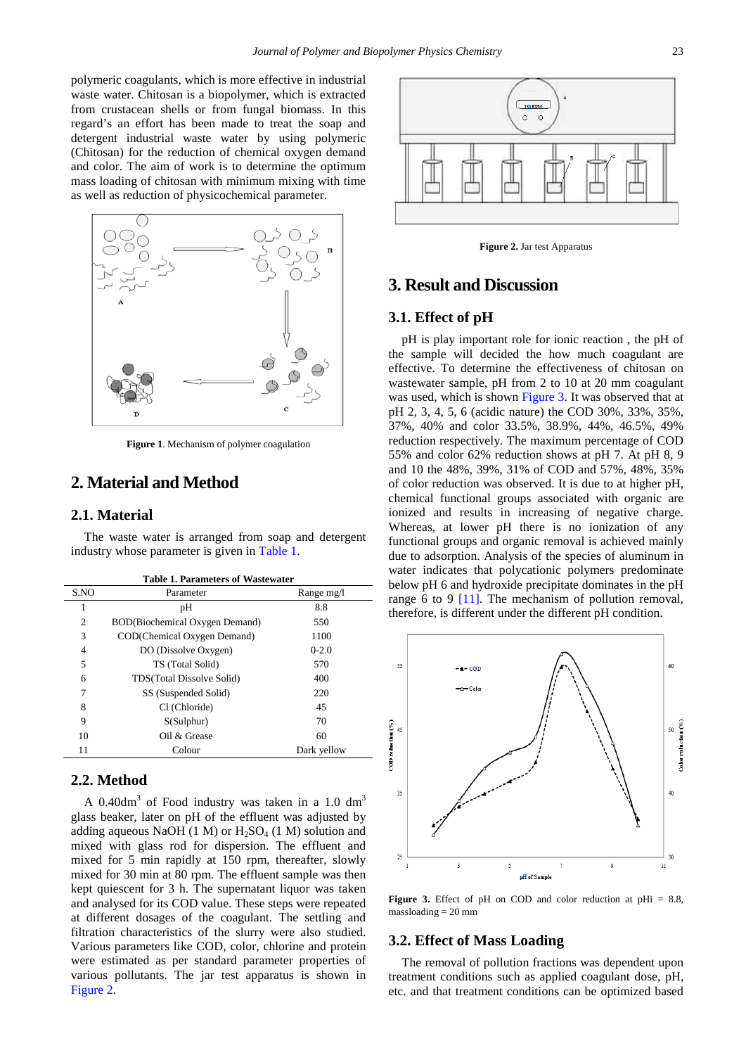polymeric coagulants, which is more effective in industrial waste water. Chitosan is a biopolymer, which is extracted from crustacean shells or from fungal biomass. In this regard's an effort has been made to treat the soap and detergent industrial waste water by using polymeric (Chitosan) for the reduction of chemical oxygen demand and color. The aim of work is to determine the optimum mass loading of chitosan with minimum mixing with time as well as reduction of physicochemical parameter.

<span id="page-1-0"></span>

**Figure 1**. Mechanism of polymer coagulation

# **2. Material and Method**

#### **2.1. Material**

The waste water is arranged from soap and detergent industry whose parameter is given i[n Table 1.](#page-1-1)

<span id="page-1-1"></span>

| <b>Table 1. Parameters of Wastewater</b> |                                |             |
|------------------------------------------|--------------------------------|-------------|
| S.NO                                     | Parameter                      | Range mg/l  |
| 1                                        | pH                             | 8.8         |
| $\overline{c}$                           | BOD(Biochemical Oxygen Demand) | 550         |
| 3                                        | COD(Chemical Oxygen Demand)    | 1100        |
| 4                                        | DO (Dissolve Oxygen)           | $0 - 2.0$   |
| 5                                        | TS (Total Solid)               | 570         |
| 6                                        | TDS(Total Dissolve Solid)      | 400         |
| 7                                        | SS (Suspended Solid)           | 220         |
| 8                                        | Cl (Chloride)                  | 45          |
| 9                                        | S(Sulphur)                     | 70          |
| 10                                       | Oil $&$ Grease                 | 60          |
| 11                                       | Colour                         | Dark yellow |
|                                          |                                |             |

#### **2.2. Method**

A  $0.40$ dm<sup>3</sup> of Food industry was taken in a 1.0 dm<sup>3</sup> glass beaker, later on pH of the effluent was adjusted by adding aqueous NaOH (1 M) or  $H<sub>2</sub>SO<sub>4</sub>$  (1 M) solution and mixed with glass rod for dispersion. The effluent and mixed for 5 min rapidly at 150 rpm, thereafter, slowly mixed for 30 min at 80 rpm. The effluent sample was then kept quiescent for 3 h. The supernatant liquor was taken and analysed for its COD value. These steps were repeated at different dosages of the coagulant. The settling and filtration characteristics of the slurry were also studied. Various parameters like COD, color, chlorine and protein were estimated as per standard parameter properties of various pollutants. The jar test apparatus is shown in [Figure 2.](#page-1-2)

<span id="page-1-2"></span>

**Figure 2.** Jar test Apparatus

## **3. Result and Discussion**

#### **3.1. Effect of pH**

pH is play important role for ionic reaction , the pH of the sample will decided the how much coagulant are effective. To determine the effectiveness of chitosan on wastewater sample, pH from 2 to 10 at 20 mm coagulant was used, which is shown [Figure 3.](#page-1-3) It was observed that at pH 2, 3, 4, 5, 6 (acidic nature) the COD 30%, 33%, 35%, 37%, 40% and color 33.5%, 38.9%, 44%, 46.5%, 49% reduction respectively. The maximum percentage of COD 55% and color 62% reduction shows at pH 7. At pH 8, 9 and 10 the 48%, 39%, 31% of COD and 57%, 48%, 35% of color reduction was observed. It is due to at higher pH, chemical functional groups associated with organic are ionized and results in increasing of negative charge. Whereas, at lower pH there is no ionization of any functional groups and organic removal is achieved mainly due to adsorption. Analysis of the species of aluminum in water indicates that polycationic polymers predominate below pH 6 and hydroxide precipitate dominates in the pH range 6 to 9 [\[11\].](#page-3-9) The mechanism of pollution removal, therefore, is different under the different pH condition.

<span id="page-1-3"></span>

**Figure 3.** Effect of pH on COD and color reduction at pHi  $= 8.8$ , massloading = 20 mm

#### **3.2. Effect of Mass Loading**

The removal of pollution fractions was dependent upon treatment conditions such as applied coagulant dose, pH, etc. and that treatment conditions can be optimized based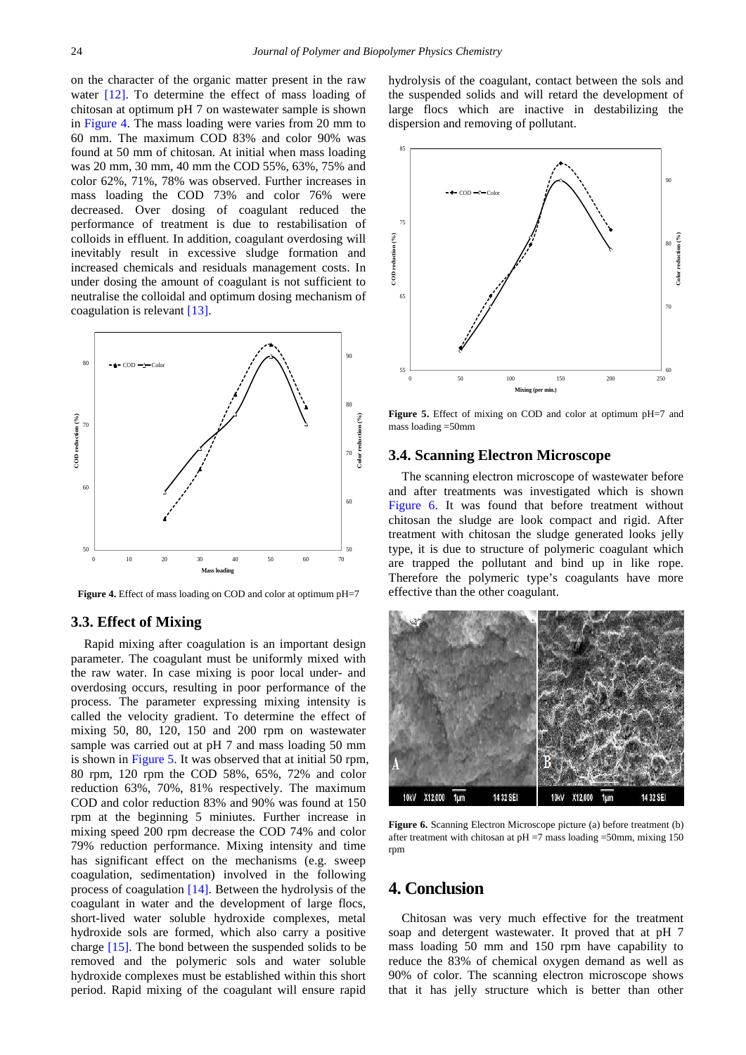on the character of the organic matter present in the raw water [\[12\].](#page-3-10) To determine the effect of mass loading of chitosan at optimum pH 7 on wastewater sample is shown in [Figure 4.](#page-2-0) The mass loading were varies from 20 mm to 60 mm. The maximum COD 83% and color 90% was found at 50 mm of chitosan. At initial when mass loading was 20 mm, 30 mm, 40 mm the COD 55%, 63%, 75% and color 62%, 71%, 78% was observed. Further increases in mass loading the COD 73% and color 76% were decreased. Over dosing of coagulant reduced the performance of treatment is due to restabilisation of colloids in effluent. In addition, coagulant overdosing will inevitably result in excessive sludge formation and increased chemicals and residuals management costs. In under dosing the amount of coagulant is not sufficient to neutralise the colloidal and optimum dosing mechanism of coagulation is relevan[t \[13\].](#page-3-11)

<span id="page-2-0"></span>

**Figure 4.** Effect of mass loading on COD and color at optimum pH=7

#### **3.3. Effect of Mixing**

Rapid mixing after coagulation is an important design parameter. The coagulant must be uniformly mixed with the raw water. In case mixing is poor local under- and overdosing occurs, resulting in poor performance of the process. The parameter expressing mixing intensity is called the velocity gradient. To determine the effect of mixing 50, 80, 120, 150 and 200 rpm on wastewater sample was carried out at pH 7 and mass loading 50 mm is shown in [Figure 5.](#page-2-1) It was observed that at initial 50 rpm, 80 rpm, 120 rpm the COD 58%, 65%, 72% and color reduction 63%, 70%, 81% respectively. The maximum COD and color reduction 83% and 90% was found at 150 rpm at the beginning 5 miniutes. Further increase in mixing speed 200 rpm decrease the COD 74% and color 79% reduction performance. Mixing intensity and time has significant effect on the mechanisms (e.g. sweep coagulation, sedimentation) involved in the following process of coagulation [\[14\].](#page-3-12) Between the hydrolysis of the coagulant in water and the development of large flocs, short-lived water soluble hydroxide complexes, metal hydroxide sols are formed, which also carry a positive charge [\[15\].](#page-3-13) The bond between the suspended solids to be removed and the polymeric sols and water soluble hydroxide complexes must be established within this short period. Rapid mixing of the coagulant will ensure rapid hydrolysis of the coagulant, contact between the sols and the suspended solids and will retard the development of large flocs which are inactive in destabilizing the dispersion and removing of pollutant.

<span id="page-2-1"></span>

**Figure 5.** Effect of mixing on COD and color at optimum pH=7 and mass loading =50mm

#### **3.4. Scanning Electron Microscope**

The scanning electron microscope of wastewater before and after treatments was investigated which is shown [Figure 6.](#page-2-2) It was found that before treatment without chitosan the sludge are look compact and rigid. After treatment with chitosan the sludge generated looks jelly type, it is due to structure of polymeric coagulant which are trapped the pollutant and bind up in like rope. Therefore the polymeric type's coagulants have more effective than the other coagulant.

<span id="page-2-2"></span>

**Figure 6.** Scanning Electron Microscope picture (a) before treatment (b) after treatment with chitosan at  $pH = 7$  mass loading  $=50$ mm, mixing 150 rpm

# **4. Conclusion**

Chitosan was very much effective for the treatment soap and detergent wastewater. It proved that at pH 7 mass loading 50 mm and 150 rpm have capability to reduce the 83% of chemical oxygen demand as well as 90% of color. The scanning electron microscope shows that it has jelly structure which is better than other